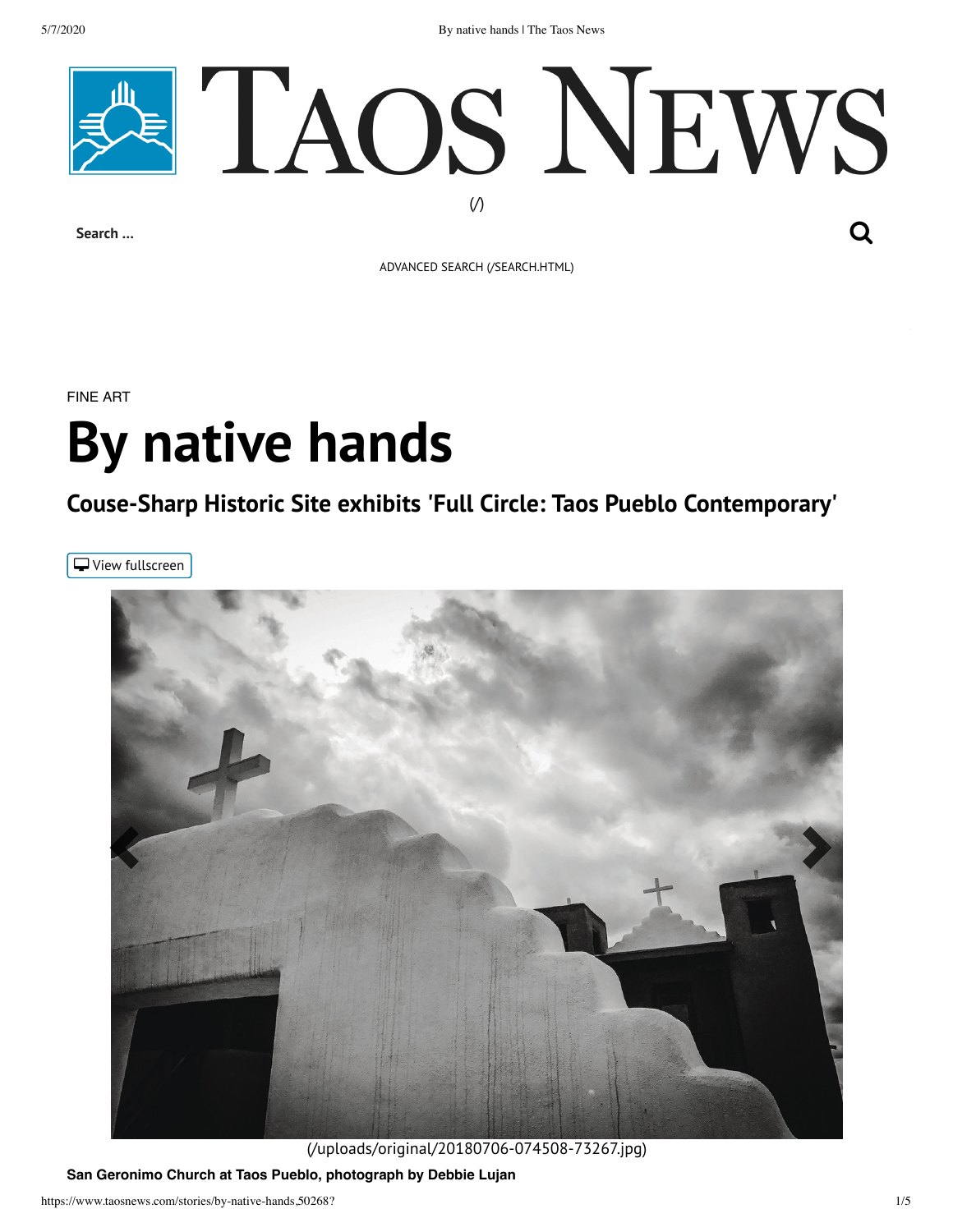5/7/2020 By native hands | The Taos News



ADVANCED SEARCH [\(/SEARCH.HTML\)](https://www.taosnews.com/search.html)

FINE ART

# **By native hands**

## **Couse-Sharp Historic Site exhibits 'Full Circle: Taos Pueblo Contemporary'**

<span id="page-0-0"></span>View fullscreen



[\(/uploads/original/20180706-074508-73267.jpg\)](https://www.taosnews.com/uploads/original/20180706-074508-73267.jpg)

**San Geronimo Church at Taos Pueblo, photograph by Debbie Lujan**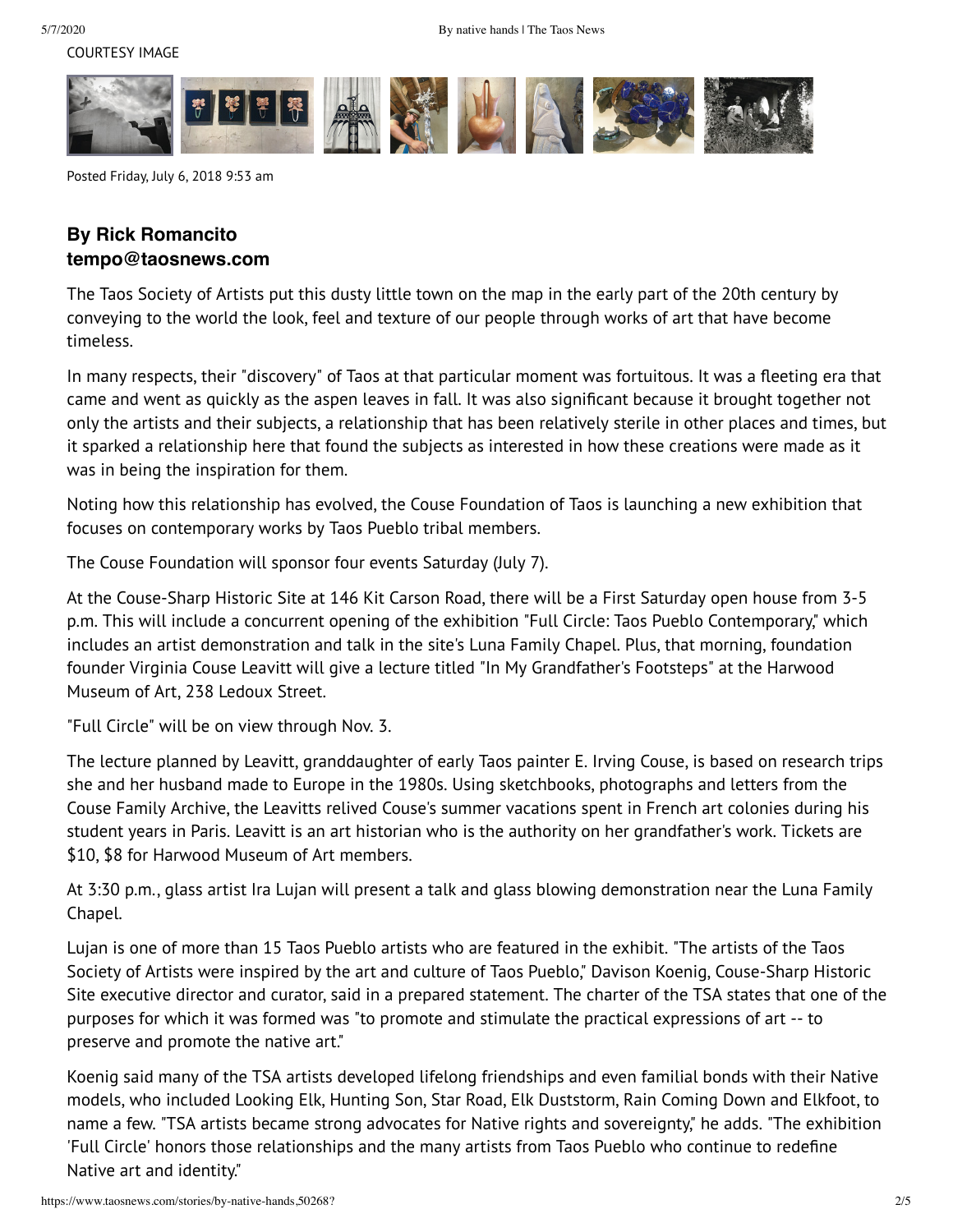

Posted Friday, July 6, 2018 9:53 am

## **By Rick Romancito tempo@taosnews.com**

The Taos Society of Artists put this dusty little town on the map in the early part of the 20th century by conveying to the world the look, feel and texture of our people through works of art that have become timeless.

In many respects, their "discovery" of Taos at that particular moment was fortuitous. It was a fleeting era that came and went as quickly as the aspen leaves in fall. It was also significant because it brought together not only the artists and their subjects, a relationship that has been relatively sterile in other places and times, but it sparked a relationship here that found the subjects as interested in how these creations were made as it was in being the inspiration for them.

Noting how this relationship has evolved, the Couse Foundation of Taos is launching a new exhibition that focuses on contemporary works by Taos Pueblo tribal members.

The Couse Foundation will sponsor four events Saturday (July 7).

At the Couse-Sharp Historic Site at 146 Kit Carson Road, there will be a First Saturday open house from 3-5 p.m. This will include a concurrent opening of the exhibition "Full Circle: Taos Pueblo Contemporary," which includes an artist demonstration and talk in the site's Luna Family Chapel. Plus, that morning, foundation founder Virginia Couse Leavitt will give a lecture titled "In My Grandfather's Footsteps" at the Harwood Museum of Art, 238 Ledoux Street.

"Full Circle" will be on view through Nov. 3.

The lecture planned by Leavitt, granddaughter of early Taos painter E. Irving Couse, is based on research trips she and her husband made to Europe in the 1980s. Using sketchbooks, photographs and letters from the Couse Family Archive, the Leavitts relived Couse's summer vacations spent in French art colonies during his student years in Paris. Leavitt is an art historian who is the authority on her grandfather's work. Tickets are \$10, \$8 for Harwood Museum of Art members.

At 3:30 p.m., glass artist Ira Lujan will present a talk and glass blowing demonstration near the Luna Family Chapel.

Lujan is one of more than 15 Taos Pueblo artists who are featured in the exhibit. "The artists of the Taos Society of Artists were inspired by the art and culture of Taos Pueblo," Davison Koenig, Couse-Sharp Historic Site executive director and curator, said in a prepared statement. The charter of the TSA states that one of the purposes for which it was formed was "to promote and stimulate the practical expressions of art -- to preserve and promote the native art."

Koenig said many of the TSA artists developed lifelong friendships and even familial bonds with their Native models, who included Looking Elk, Hunting Son, Star Road, Elk Duststorm, Rain Coming Down and Elkfoot, to name a few. "TSA artists became strong advocates for Native rights and sovereignty," he adds. "The exhibition 'Full Circle' honors those relationships and the many artists from Taos Pueblo who continue to redefine Native art and identity."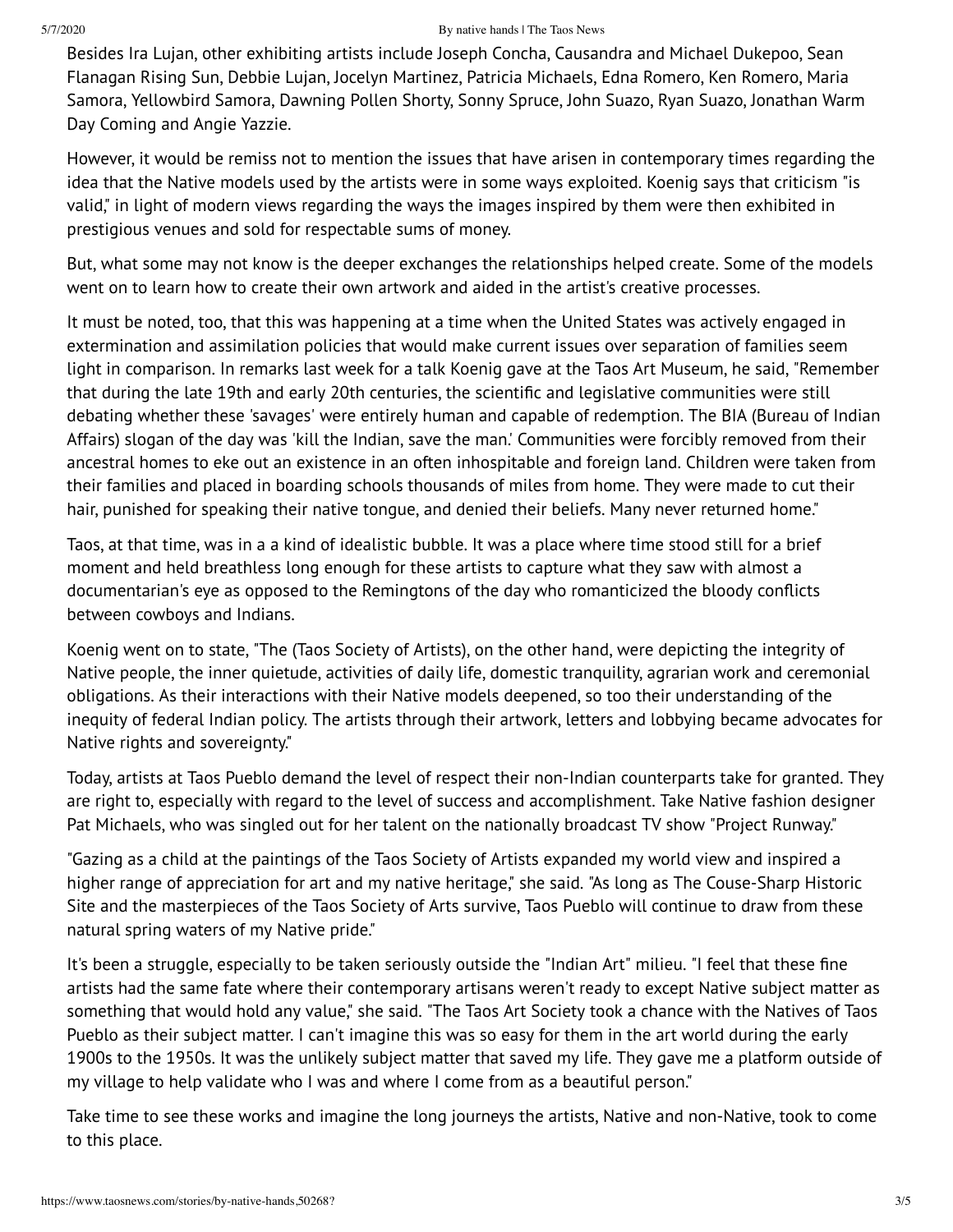#### 5/7/2020 By native hands | The Taos News

Besides Ira Lujan, other exhibiting artists include Joseph Concha, Causandra and Michael Dukepoo, Sean Flanagan Rising Sun, Debbie Lujan, Jocelyn Martinez, Patricia Michaels, Edna Romero, Ken Romero, Maria Samora, Yellowbird Samora, Dawning Pollen Shorty, Sonny Spruce, John Suazo, Ryan Suazo, Jonathan Warm Day Coming and Angie Yazzie.

However, it would be remiss not to mention the issues that have arisen in contemporary times regarding the idea that the Native models used by the artists were in some ways exploited. Koenig says that criticism "is valid," in light of modern views regarding the ways the images inspired by them were then exhibited in prestigious venues and sold for respectable sums of money.

But, what some may not know is the deeper exchanges the relationships helped create. Some of the models went on to learn how to create their own artwork and aided in the artist's creative processes.

It must be noted, too, that this was happening at a time when the United States was actively engaged in extermination and assimilation policies that would make current issues over separation of families seem light in comparison. In remarks last week for a talk Koenig gave at the Taos Art Museum, he said, "Remember that during the late 19th and early 20th centuries, the scientific and legislative communities were still debating whether these 'savages' were entirely human and capable of redemption. The BIA (Bureau of Indian Affairs) slogan of the day was 'kill the Indian, save the man.' Communities were forcibly removed from their ancestral homes to eke out an existence in an often inhospitable and foreign land. Children were taken from their families and placed in boarding schools thousands of miles from home. They were made to cut their hair, punished for speaking their native tongue, and denied their beliefs. Many never returned home."

Taos, at that time, was in a a kind of idealistic bubble. It was a place where time stood still for a brief moment and held breathless long enough for these artists to capture what they saw with almost a documentarian's eye as opposed to the Remingtons of the day who romanticized the bloody conflicts between cowboys and Indians.

Koenig went on to state, "The (Taos Society of Artists), on the other hand, were depicting the integrity of Native people, the inner quietude, activities of daily life, domestic tranquility, agrarian work and ceremonial obligations. As their interactions with their Native models deepened, so too their understanding of the inequity of federal Indian policy. The artists through their artwork, letters and lobbying became advocates for Native rights and sovereignty."

Today, artists at Taos Pueblo demand the level of respect their non-Indian counterparts take for granted. They are right to, especially with regard to the level of success and accomplishment. Take Native fashion designer Pat Michaels, who was singled out for her talent on the nationally broadcast TV show "Project Runway."

"Gazing as a child at the paintings of the Taos Society of Artists expanded my world view and inspired a higher range of appreciation for art and my native heritage," she said. "As long as The Couse-Sharp Historic Site and the masterpieces of the Taos Society of Arts survive, Taos Pueblo will continue to draw from these natural spring waters of my Native pride."

It's been a struggle, especially to be taken seriously outside the "Indian Art" milieu. "I feel that these fine artists had the same fate where their contemporary artisans weren't ready to except Native subject matter as something that would hold any value," she said. "The Taos Art Society took a chance with the Natives of Taos Pueblo as their subject matter. I can't imagine this was so easy for them in the art world during the early 1900s to the 1950s. It was the unlikely subject matter that saved my life. They gave me a platform outside of my village to help validate who I was and where I come from as a beautiful person."

Take time to see these works and imagine the long journeys the artists, Native and non-Native, took to come to this place.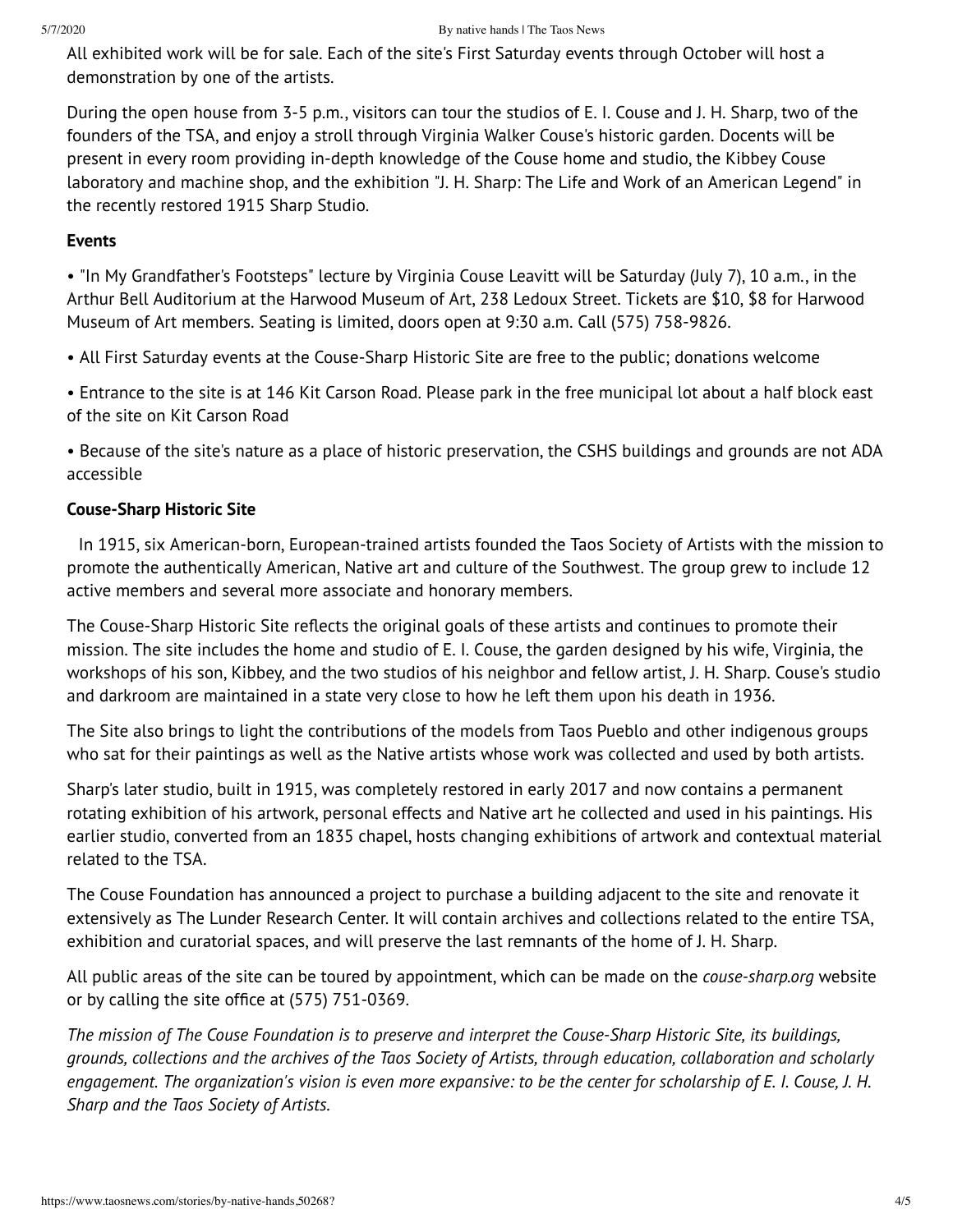All exhibited work will be for sale. Each of the site's First Saturday events through October will host a demonstration by one of the artists.

During the open house from 3-5 p.m., visitors can tour the studios of E. I. Couse and J. H. Sharp, two of the founders of the TSA, and enjoy a stroll through Virginia Walker Couse's historic garden. Docents will be present in every room providing in-depth knowledge of the Couse home and studio, the Kibbey Couse laboratory and machine shop, and the exhibition "J. H. Sharp: The Life and Work of an American Legend" in the recently restored 1915 Sharp Studio.

## **Events**

• "In My Grandfather's Footsteps" lecture by Virginia Couse Leavitt will be Saturday (July 7), 10 a.m., in the Arthur Bell Auditorium at the Harwood Museum of Art, 238 Ledoux Street. Tickets are \$10, \$8 for Harwood Museum of Art members. Seating is limited, doors open at 9:30 a.m. Call (575) 758-9826.

• All First Saturday events at the Couse-Sharp Historic Site are free to the public; donations welcome

• Entrance to the site is at 146 Kit Carson Road. Please park in the free municipal lot about a half block east of the site on Kit Carson Road

• Because of the site's nature as a place of historic preservation, the CSHS buildings and grounds are not ADA accessible

## **Couse-Sharp Historic Site**

In 1915, six American-born, European-trained artists founded the Taos Society of Artists with the mission to promote the authentically American, Native art and culture of the Southwest. The group grew to include 12 active members and several more associate and honorary members.

The Couse-Sharp Historic Site reflects the original goals of these artists and continues to promote their mission. The site includes the home and studio of E. I. Couse, the garden designed by his wife, Virginia, the workshops of his son, Kibbey, and the two studios of his neighbor and fellow artist, J. H. Sharp. Couse's studio and darkroom are maintained in a state very close to how he left them upon his death in 1936.

The Site also brings to light the contributions of the models from Taos Pueblo and other indigenous groups who sat for their paintings as well as the Native artists whose work was collected and used by both artists.

Sharp's later studio, built in 1915, was completely restored in early 2017 and now contains a permanent rotating exhibition of his artwork, personal effects and Native art he collected and used in his paintings. His earlier studio, converted from an 1835 chapel, hosts changing exhibitions of artwork and contextual material related to the TSA.

The Couse Foundation has announced a project to purchase a building adjacent to the site and renovate it extensively as The Lunder Research Center. It will contain archives and collections related to the entire TSA, exhibition and curatorial spaces, and will preserve the last remnants of the home of J. H. Sharp.

All public areas of the site can be toured by appointment, which can be made on the *couse-sharp.org* website or by calling the site office at (575) 751-0369.

The mission of The Couse Foundation is to preserve and interpret the Couse-Sharp Historic Site, its buildings, grounds, collections and the archives of the Taos Society of Artists, through education, collaboration and scholarly engagement. The organization's vision is even more expansive: to be the center for scholarship of E. I. Couse, J. H. *Sharp and the Taos Society of Artists.*